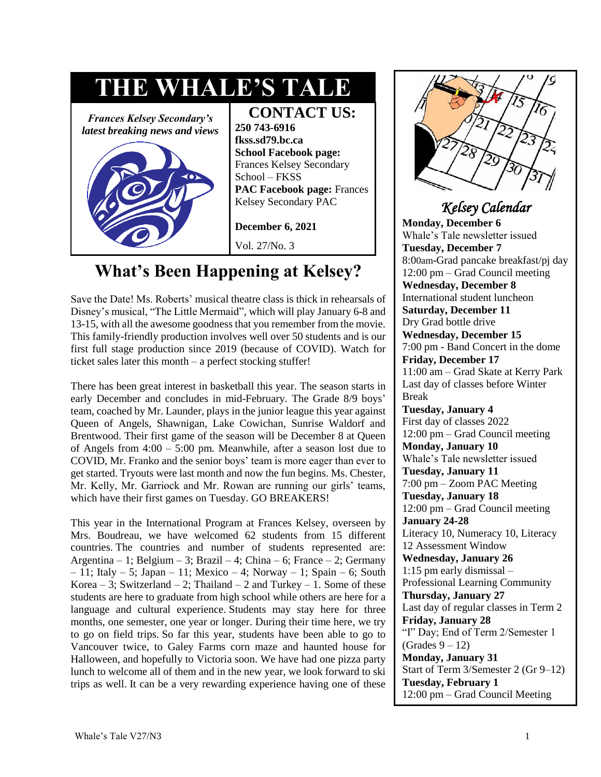

# **What's Been Happening at Kelsey?**

Save the Date! Ms. Roberts' musical theatre class is thick in rehearsals of Disney's musical, "The Little Mermaid", which will play January 6-8 and 13-15, with all the awesome goodness that you remember from the movie. This family-friendly production involves well over 50 students and is our first full stage production since 2019 (because of COVID). Watch for ticket sales later this month – a perfect stocking stuffer!

There has been great interest in basketball this year. The season starts in early December and concludes in mid-February. The Grade 8/9 boys' team, coached by Mr. Launder, plays in the junior league this year against Queen of Angels, Shawnigan, Lake Cowichan, Sunrise Waldorf and Brentwood. Their first game of the season will be December 8 at Queen of Angels from 4:00 – 5:00 pm. Meanwhile, after a season lost due to COVID, Mr. Franko and the senior boys' team is more eager than ever to get started. Tryouts were last month and now the fun begins. Ms. Chester, Mr. Kelly, Mr. Garriock and Mr. Rowan are running our girls' teams, which have their first games on Tuesday. GO BREAKERS!

This year in the International Program at Frances Kelsey, overseen by Mrs. Boudreau, we have welcomed 62 students from 15 different countries. The countries and number of students represented are: Argentina – 1; Belgium – 3; Brazil – 4; China – 6; France – 2; Germany  $-11$ ; Italy  $-5$ ; Japan  $-11$ ; Mexico  $-4$ ; Norway  $-1$ ; Spain  $-6$ ; South Korea – 3; Switzerland – 2; Thailand – 2 and Turkey – 1. Some of these students are here to graduate from high school while others are here for a language and cultural experience. Students may stay here for three months, one semester, one year or longer. During their time here, we try to go on field trips. So far this year, students have been able to go to Vancouver twice, to Galey Farms corn maze and haunted house for Halloween, and hopefully to Victoria soon. We have had one pizza party lunch to welcome all of them and in the new year, we look forward to ski trips as well. It can be a very rewarding experience having one of these



### *Kelsey Calendar*

**Monday, December 6** Whale's Tale newsletter issued **Tuesday, December 7**  8:00am-Grad pancake breakfast/pj day 12:00 pm – Grad Council meeting **Wednesday, December 8**  International student luncheon **Saturday, December 11**  Dry Grad bottle drive **Wednesday, December 15** 7:00 pm - Band Concert in the dome **Friday, December 17**  11:00 am – Grad Skate at Kerry Park Last day of classes before Winter Break **Tuesday, January 4**  First day of classes 2022 12:00 pm – Grad Council meeting **Monday, January 10**  Whale's Tale newsletter issued **Tuesday, January 11**  7:00 pm – Zoom PAC Meeting **Tuesday, January 18** 12:00 pm – Grad Council meeting **January 24-28**  Literacy 10, Numeracy 10, Literacy 12 Assessment Window **Wednesday, January 26**  1:15 pm early dismissal – Professional Learning Community **Thursday, January 27**  Last day of regular classes in Term 2 **Friday, January 28**  "I" Day; End of Term 2/Semester 1  $(Grades 9 - 12)$ **Monday, January 31**  Start of Term 3/Semester 2 (Gr 9–12) **Tuesday, February 1**  12:00 pm – Grad Council Meeting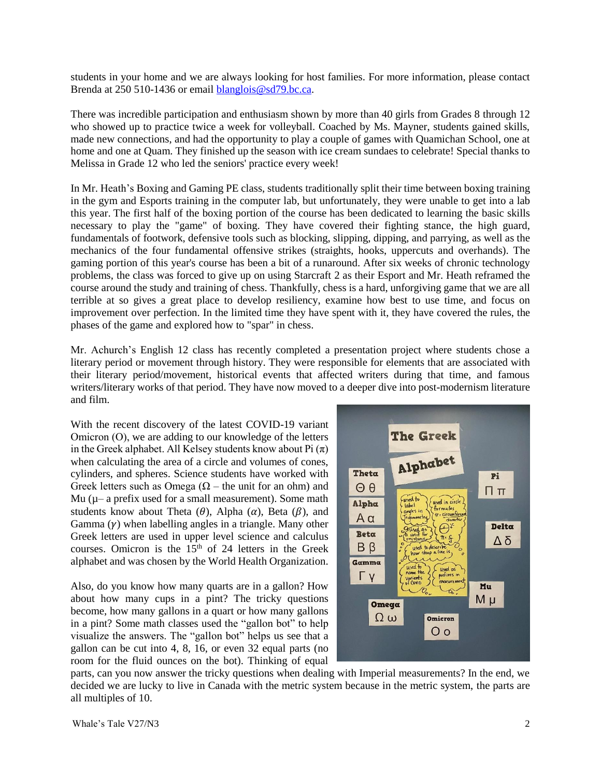students in your home and we are always looking for host families. For more information, please contact Brenda at 250 510-1436 or email [blanglois@sd79.bc.ca.](mailto:blanglois@sd79.bc.ca)

There was incredible participation and enthusiasm shown by more than 40 girls from Grades 8 through 12 who showed up to practice twice a week for volleyball. Coached by Ms. Mayner, students gained skills, made new connections, and had the opportunity to play a couple of games with Quamichan School, one at home and one at Quam. They finished up the season with ice cream sundaes to celebrate! Special thanks to Melissa in Grade 12 who led the seniors' practice every week!

In Mr. Heath's Boxing and Gaming PE class, students traditionally split their time between boxing training in the gym and Esports training in the computer lab, but unfortunately, they were unable to get into a lab this year. The first half of the boxing portion of the course has been dedicated to learning the basic skills necessary to play the "game" of boxing. They have covered their fighting stance, the high guard, fundamentals of footwork, defensive tools such as blocking, slipping, dipping, and parrying, as well as the mechanics of the four fundamental offensive strikes (straights, hooks, uppercuts and overhands). The gaming portion of this year's course has been a bit of a runaround. After six weeks of chronic technology problems, the class was forced to give up on using Starcraft 2 as their Esport and Mr. Heath reframed the course around the study and training of chess. Thankfully, chess is a hard, unforgiving game that we are all terrible at so gives a great place to develop resiliency, examine how best to use time, and focus on improvement over perfection. In the limited time they have spent with it, they have covered the rules, the phases of the game and explored how to "spar" in chess.

Mr. Achurch's English 12 class has recently completed a presentation project where students chose a literary period or movement through history. They were responsible for elements that are associated with their literary period/movement, historical events that affected writers during that time, and famous writers/literary works of that period. They have now moved to a deeper dive into post-modernism literature and film.

With the recent discovery of the latest COVID-19 variant Omicron (Ο), we are adding to our knowledge of the letters in the Greek alphabet. All Kelsey students know about Pi  $(\pi)$ when calculating the area of a circle and volumes of cones, cylinders, and spheres. Science students have worked with Greek letters such as Omega ( $\Omega$  – the unit for an ohm) and Mu  $(\mu - a \text{ prefix used for a small measurement})$ . Some math students know about Theta  $(\theta)$ , Alpha  $(\alpha)$ , Beta  $(\beta)$ , and Gamma  $(y)$  when labelling angles in a triangle. Many other Greek letters are used in upper level science and calculus courses. Omicron is the  $15<sup>th</sup>$  of 24 letters in the Greek alphabet and was chosen by the World Health Organization.

Also, do you know how many quarts are in a gallon? How about how many cups in a pint? The tricky questions become, how many gallons in a quart or how many gallons in a pint? Some math classes used the "gallon bot" to help visualize the answers. The "gallon bot" helps us see that a gallon can be cut into 4, 8, 16, or even 32 equal parts (no room for the fluid ounces on the bot). Thinking of equal



parts, can you now answer the tricky questions when dealing with Imperial measurements? In the end, we decided we are lucky to live in Canada with the metric system because in the metric system, the parts are all multiples of 10.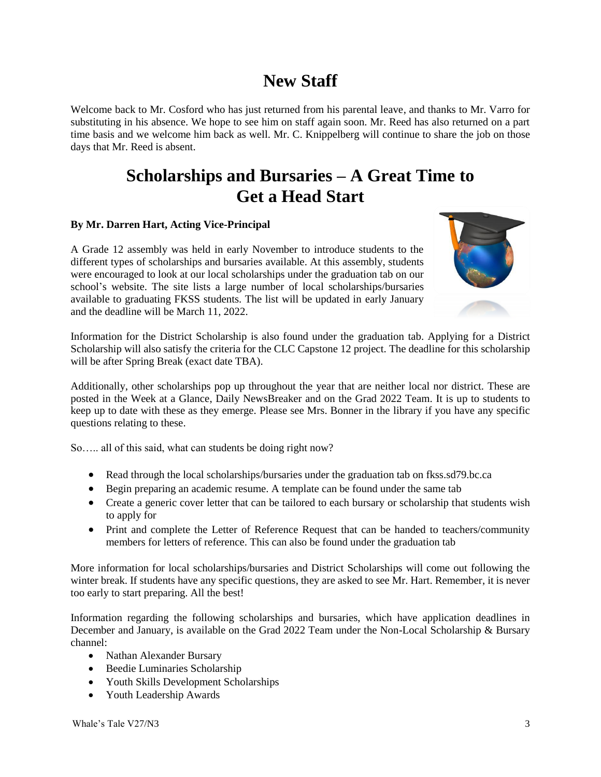# **New Staff**

Welcome back to Mr. Cosford who has just returned from his parental leave, and thanks to Mr. Varro for substituting in his absence. We hope to see him on staff again soon. Mr. Reed has also returned on a part time basis and we welcome him back as well. Mr. C. Knippelberg will continue to share the job on those days that Mr. Reed is absent.

## **Scholarships and Bursaries – A Great Time to Get a Head Start**

#### **By Mr. Darren Hart, Acting Vice-Principal**

A Grade 12 assembly was held in early November to introduce students to the different types of scholarships and bursaries available. At this assembly, students were encouraged to look at our local scholarships under the graduation tab on our school's website. The site lists a large number of local scholarships/bursaries available to graduating FKSS students. The list will be updated in early January and the deadline will be March 11, 2022.



Information for the District Scholarship is also found under the graduation tab. Applying for a District Scholarship will also satisfy the criteria for the CLC Capstone 12 project. The deadline for this scholarship will be after Spring Break (exact date TBA).

Additionally, other scholarships pop up throughout the year that are neither local nor district. These are posted in the Week at a Glance, Daily NewsBreaker and on the Grad 2022 Team. It is up to students to keep up to date with these as they emerge. Please see Mrs. Bonner in the library if you have any specific questions relating to these.

So….. all of this said, what can students be doing right now?

- Read through the local scholarships/bursaries under the graduation tab on fkss.sd79.bc.ca
- Begin preparing an academic resume. A template can be found under the same tab
- Create a generic cover letter that can be tailored to each bursary or scholarship that students wish to apply for
- Print and complete the Letter of Reference Request that can be handed to teachers/community members for letters of reference. This can also be found under the graduation tab

More information for local scholarships/bursaries and District Scholarships will come out following the winter break. If students have any specific questions, they are asked to see Mr. Hart. Remember, it is never too early to start preparing. All the best!

Information regarding the following scholarships and bursaries, which have application deadlines in December and January, is available on the Grad 2022 Team under the Non-Local Scholarship & Bursary channel:

- Nathan Alexander Bursary
- Beedie Luminaries Scholarship
- Youth Skills Development Scholarships
- Youth Leadership Awards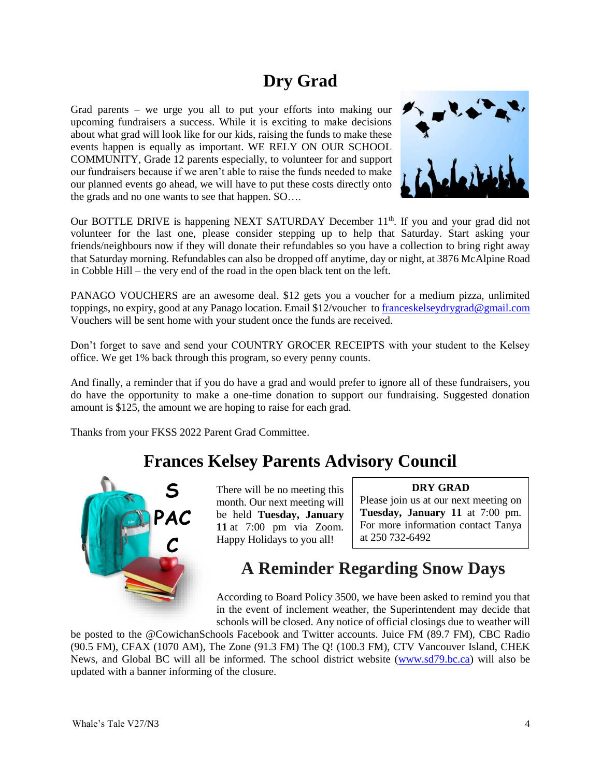# **Dry Grad**

Grad parents – we urge you all to put your efforts into making our upcoming fundraisers a success. While it is exciting to make decisions about what grad will look like for our kids, raising the funds to make these events happen is equally as important. WE RELY ON OUR SCHOOL COMMUNITY, Grade 12 parents especially, to volunteer for and support our fundraisers because if we aren't able to raise the funds needed to make our planned events go ahead, we will have to put these costs directly onto the grads and no one wants to see that happen. SO….



Our BOTTLE DRIVE is happening NEXT SATURDAY December 11<sup>th</sup>. If you and your grad did not volunteer for the last one, please consider stepping up to help that Saturday. Start asking your friends/neighbours now if they will donate their refundables so you have a collection to bring right away that Saturday morning. Refundables can also be dropped off anytime, day or night, at 3876 McAlpine Road in Cobble Hill – the very end of the road in the open black tent on the left.

PANAGO VOUCHERS are an awesome deal. \$12 gets you a voucher for a medium pizza, unlimited toppings, no expiry, good at any Panago location. Email \$12/voucher to [franceskelseydrygrad@gmail.com](mailto:franceskelseydrygrad@gmail.com) Vouchers will be sent home with your student once the funds are received.

Don't forget to save and send your COUNTRY GROCER RECEIPTS with your student to the Kelsey office. We get 1% back through this program, so every penny counts.

And finally, a reminder that if you do have a grad and would prefer to ignore all of these fundraisers, you do have the opportunity to make a one-time donation to support our fundraising. Suggested donation amount is \$125, the amount we are hoping to raise for each grad.

Thanks from your FKSS 2022 Parent Grad Committee.

### **Frances Kelsey Parents Advisory Council**



There will be no meeting this month. Our next meeting will be held **Tuesday, January 11** at 7:00 pm via Zoom. Happy Holidays to you all!

#### **DRY GRAD**

Please join us at our next meeting on **Tuesday, January 11** at 7:00 pm. For more information contact Tanya at 250 732-6492

# **A Reminder Regarding Snow Days**

According to Board Policy 3500, we have been asked to remind you that in the event of inclement weather, the Superintendent may decide that schools will be closed. Any notice of official closings due to weather will

be posted to the @CowichanSchools Facebook and Twitter accounts. Juice FM (89.7 FM), CBC Radio (90.5 FM), CFAX (1070 AM), The Zone (91.3 FM) The Q! (100.3 FM), CTV Vancouver Island, CHEK News, and Global BC will all be informed. The school district website [\(www.sd79.bc.ca\)](http://www.sd79.bc.ca/) will also be updated with a banner informing of the closure.